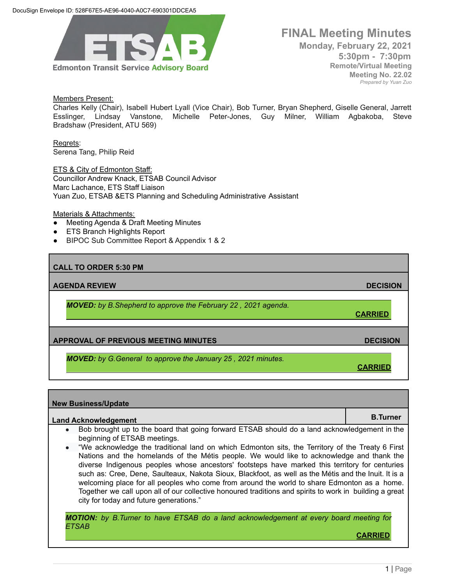

# **FINAL Meeting Minutes Monday, February 22, 2021 5:30pm - 7:30pm Remote/Virtual Meeting**

**Meeting No. 22.02** *Prepared by Yuan Zuo*

### Members Present:

Charles Kelly (Chair), Isabell Hubert Lyall (Vice Chair), Bob Turner, Bryan Shepherd, Giselle General, Jarrett Esslinger, Lindsay Vanstone, Michelle Peter-Jones, Guy Milner, William Agbakoba, Steve Bradshaw (President, ATU 569)

Regrets: Serena Tang, Philip Reid

ETS & City of Edmonton Staff: Councillor Andrew Knack, ETSAB Council Advisor Marc Lachance, ETS Staff Liaison Yuan Zuo, ETSAB &ETS Planning and Scheduling Administrative Assistant

#### Materials & Attachments:

- Meeting Agenda & Draft Meeting Minutes
- **ETS Branch Highlights Report**
- BIPOC Sub Committee Report & Appendix 1 & 2

### **CALL TO ORDER 5:30 PM**

**AGENDA REVIEW DECISION**

*MOVED: by B.Shepherd to approve the February 22 , 2021 agenda.*

**CARRIED**

**CARRIED**

## **APPROVAL OF PREVIOUS MEETING MINUTES DECISION**

*MOVED: by G.General to approve the January 25 , 2021 minutes.*

# **New Business/Update Land Acknowledgement B.Turner B.Turner** • Bob brought up to the board that going forward ETSAB should do a land acknowledgement in the beginning of ETSAB meetings. ● "We acknowledge the traditional land on which Edmonton sits, the Territory of the Treaty 6 First Nations and the homelands of the Métis people. We would like to acknowledge and thank the diverse Indigenous peoples whose ancestors' footsteps have marked this territory for centuries such as: Cree, Dene, Saulteaux, Nakota Sioux, Blackfoot, as well as the Métis and the Inuit. It is a welcoming place for all peoples who come from around the world to share Edmonton as a home. Together we call upon all of our collective honoured traditions and spirits to work in building a great city for today and future generations." *MOTION: by B.Turner to have ETSAB do a land acknowledgement at every board meeting for*

*ETSAB*

**CARRIED**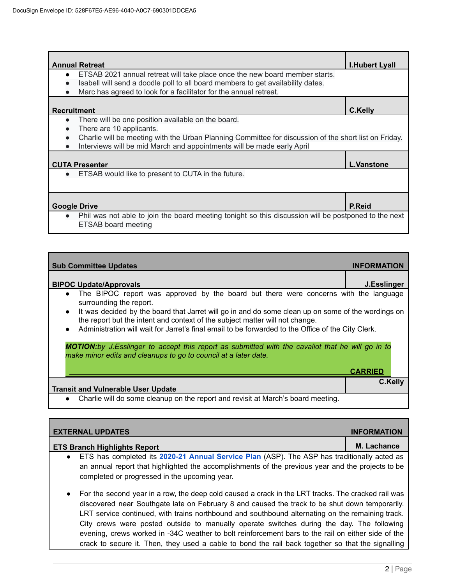| <b>Annual Retreat</b>                                                                                             | <b>I.Hubert Lyall</b> |
|-------------------------------------------------------------------------------------------------------------------|-----------------------|
|                                                                                                                   |                       |
| ETSAB 2021 annual retreat will take place once the new board member starts.<br>$\bullet$                          |                       |
| Isabell will send a doodle poll to all board members to get availability dates.                                   |                       |
| Marc has agreed to look for a facilitator for the annual retreat.                                                 |                       |
|                                                                                                                   |                       |
| <b>Recruitment</b>                                                                                                | C.Kelly               |
| There will be one position available on the board.<br>$\bullet$                                                   |                       |
| There are 10 applicants.                                                                                          |                       |
| Charlie will be meeting with the Urban Planning Committee for discussion of the short list on Friday.             |                       |
| Interviews will be mid March and appointments will be made early April                                            |                       |
|                                                                                                                   |                       |
| <b>CUTA Presenter</b>                                                                                             | <b>L.Vanstone</b>     |
| ETSAB would like to present to CUTA in the future.<br>$\bullet$                                                   |                       |
|                                                                                                                   |                       |
|                                                                                                                   |                       |
|                                                                                                                   |                       |
| <b>Google Drive</b>                                                                                               | P.Reid                |
| Phil was not able to join the board meeting tonight so this discussion will be postponed to the next<br>$\bullet$ |                       |
| ETSAB board meeting                                                                                               |                       |

| <b>Sub Committee Updates</b>                                                                                                                                                                                                                                                                                       | <b>INFORMATION</b> |
|--------------------------------------------------------------------------------------------------------------------------------------------------------------------------------------------------------------------------------------------------------------------------------------------------------------------|--------------------|
| <b>BIPOC Update/Approvals</b>                                                                                                                                                                                                                                                                                      | J.Esslinger        |
| The BIPOC report was approved by the board but there were concerns with the language<br>$\bullet$<br>surrounding the report.                                                                                                                                                                                       |                    |
| It was decided by the board that Jarret will go in and do some clean up on some of the wordings on<br>$\bullet$<br>the report but the intent and context of the subject matter will not change.<br>Administration will wait for Jarret's final email to be forwarded to the Office of the City Clerk.<br>$\bullet$ |                    |
| <b>MOTION:</b> by J.Esslinger to accept this report as submitted with the cavaliot that he will go in to<br>make minor edits and cleanups to go to council at a later date.                                                                                                                                        |                    |
|                                                                                                                                                                                                                                                                                                                    | <b>CARRIED</b>     |
| <b>Transit and Vulnerable User Update</b>                                                                                                                                                                                                                                                                          | <b>C.Kelly</b>     |
| Charlie will do some cleanup on the report and revisit at March's board meeting.<br>$\bullet$                                                                                                                                                                                                                      |                    |

| <b>EXTERNAL UPDATES</b>                                                                                                                                                                                                                                                                                               | <b>INFORMATION</b> |
|-----------------------------------------------------------------------------------------------------------------------------------------------------------------------------------------------------------------------------------------------------------------------------------------------------------------------|--------------------|
| <b>ETS Branch Highlights Report</b>                                                                                                                                                                                                                                                                                   | <b>M. Lachance</b> |
| ETS has completed its 2020-21 Annual Service Plan (ASP). The ASP has traditionally acted as<br>$\bullet$                                                                                                                                                                                                              |                    |
| an annual report that highlighted the accomplishments of the previous year and the projects to be<br>completed or progressed in the upcoming year.                                                                                                                                                                    |                    |
| For the second year in a row, the deep cold caused a crack in the LRT tracks. The cracked rail was<br>$\bullet$<br>discovered near Southgate late on February 8 and caused the track to be shut down temporarily.<br>LRT service continued, with trains northbound and southbound alternating on the remaining track. |                    |

City crews were posted outside to manually operate switches during the day. The following evening, crews worked in -34C weather to bolt reinforcement bars to the rail on either side of the crack to secure it. Then, they used a cable to bond the rail back together so that the signalling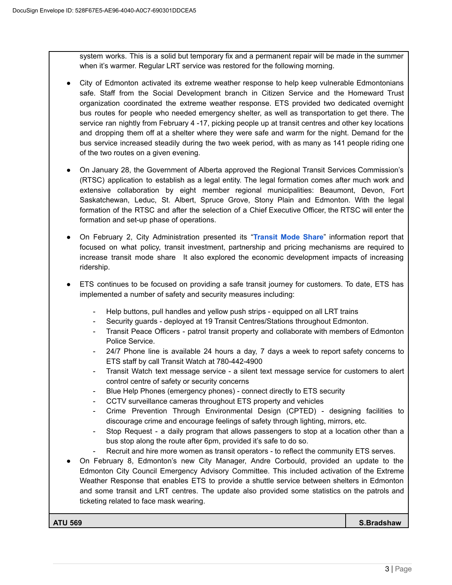system works. This is a solid but temporary fix and a permanent repair will be made in the summer when it's warmer. Regular LRT service was restored for the following morning.

- City of Edmonton activated its extreme weather response to help keep vulnerable Edmontonians safe. Staff from the Social Development branch in Citizen Service and the Homeward Trust organization coordinated the extreme weather response. ETS provided two dedicated overnight bus routes for people who needed emergency shelter, as well as transportation to get there. The service ran nightly from February 4 -17, picking people up at transit centres and other key locations and dropping them off at a shelter where they were safe and warm for the night. Demand for the bus service increased steadily during the two week period, with as many as 141 people riding one of the two routes on a given evening.
- On January 28, the Government of Alberta approved the Regional Transit Services Commission's (RTSC) application to establish as a legal entity. The legal formation comes after much work and extensive collaboration by eight member regional municipalities: Beaumont, Devon, Fort Saskatchewan, Leduc, St. Albert, Spruce Grove, Stony Plain and Edmonton. With the legal formation of the RTSC and after the selection of a Chief Executive Officer, the RTSC will enter the formation and set-up phase of operations.
- On February 2, City Administration presented its "**[Transit Mode Share](https://pub-edmonton.escribemeetings.com/filestream.ashx?DocumentId=78597)**" information report that focused on what policy, transit investment, partnership and pricing mechanisms are required to increase transit mode share It also explored the economic development impacts of increasing ridership.
- ETS continues to be focused on providing a safe transit journey for customers. To date, ETS has implemented a number of safety and security measures including:
	- Help buttons, pull handles and yellow push strips equipped on all LRT trains
	- Security guards deployed at 19 Transit Centres/Stations throughout Edmonton.
	- Transit Peace Officers patrol transit property and collaborate with members of Edmonton Police Service.
	- 24/7 Phone line is available 24 hours a day, 7 days a week to report safety concerns to ETS staff by call Transit Watch at 780-442-4900
	- Transit Watch text message service a silent text message service for customers to alert control centre of safety or security concerns
	- Blue Help Phones (emergency phones) connect directly to ETS security
	- CCTV surveillance cameras throughout ETS property and vehicles
	- Crime Prevention Through Environmental Design (CPTED) designing facilities to discourage crime and encourage feelings of safety through lighting, mirrors, etc.
	- Stop Request a daily program that allows passengers to stop at a location other than a bus stop along the route after 6pm, provided it's safe to do so.
	- Recruit and hire more women as transit operators to reflect the community ETS serves.
- On February 8, Edmonton's new City Manager, Andre Corbould, provided an update to the Edmonton City Council Emergency Advisory Committee. This included activation of the Extreme Weather Response that enables ETS to provide a shuttle service between shelters in Edmonton and some transit and LRT centres. The update also provided some statistics on the patrols and ticketing related to face mask wearing.

**ATU 569 S.Bradshaw**